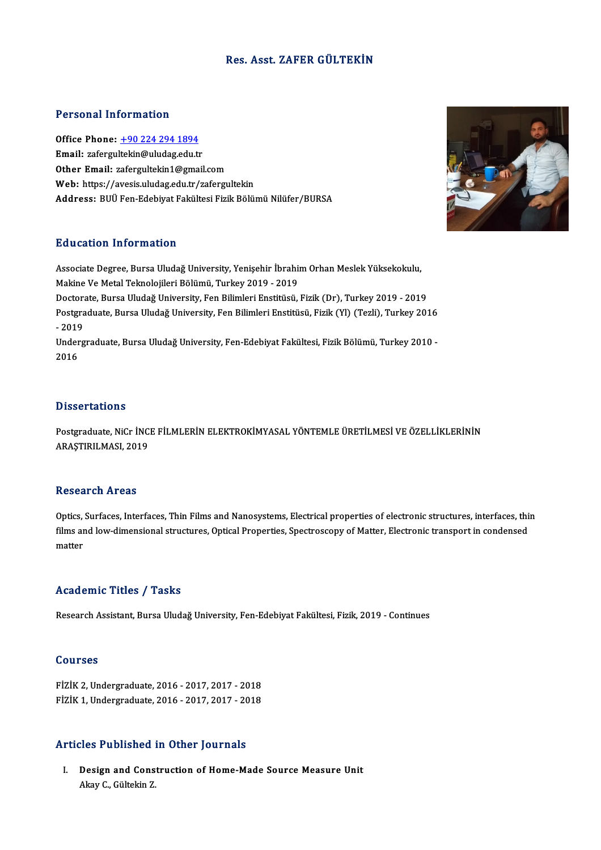# Res. Asst. ZAFER GÜLTEKİN

# Personal Information

Personal Information<br>Office Phone: <u>+90 224 294 1894</u><br>Email: geformulakin@uludas.cdu.tr Fersonar micrimation<br>Office Phone: <u>+90 224 294 1894</u><br>Email: zafergu[ltekin@uludag.edu.t](tel:+90 224 294 1894)r Email: zafergultekin@uludag.edu.tr<br>Other Email: zafergultekin1@gmail.com Web: https://avesis.uludag.edu.tr/zafergultekin Address: BUÜ Fen-Edebiyat Fakültesi Fizik Bölümü Nilüfer/BURSA

# Education Information

Education Information<br>Associate Degree, Bursa Uludağ University, Yenişehir İbrahim Orhan Meslek Yüksekokulu,<br>Mekine Ve Metel Teknolojileri Bölümü, Turkey 2010, 2019 na acatron Tinor matron<br>Associate Degree, Bursa Uludağ University, Yenişehir İbrahiı<br>Makine Ve Metal Teknolojileri Bölümü, Turkey 2019 - 2019<br>Pesterata Bursa Uludağ University, Fen Bilimleri Enstitüsü Makine Ve Metal Teknolojileri Bölümü, Turkey 2019 - 2019<br>Doctorate, Bursa Uludağ University, Fen Bilimleri Enstitüsü, Fizik (Dr), Turkey 2019 - 2019 Makine Ve Metal Teknolojileri Bölümü, Turkey 2019 - 2019<br>Doctorate, Bursa Uludağ University, Fen Bilimleri Enstitüsü, Fizik (Dr), Turkey 2019 - 2019<br>Postgraduate, Bursa Uludağ University, Fen Bilimleri Enstitüsü, Fizik (Yl Doctora<br>Postgra<br>- 2019<br>Underg Postgraduate, Bursa Uludağ University, Fen Bilimleri Enstitüsü, Fizik (Yl) (Tezli), Turkey 2016<br>- 2019<br>Undergraduate, Bursa Uludağ University, Fen-Edebiyat Fakültesi, Fizik Bölümü, Turkey 2010 -<br>2016 - 2019<br>Undergraduate, Bursa Uludağ University, Fen-Edebiyat Fakültesi, Fizik Bölümü, Turkey 2010 -<br>2016

# **Dissertations**

Dissertations<br>Postgraduate, NiCr İNCE FİLMLERİN ELEKTROKİMYASAL YÖNTEMLE ÜRETİLMESİ VE ÖZELLİKLERİNİN<br>ARASTIRLI MASL 2019 2 19991 tatrone<br>Postgraduate, NiCr İNC<br>ARAŞTIRILMASI, 2019 ARAŞTIRILMASI, 2019<br>Research Areas

Research Areas<br>Optics, Surfaces, Interfaces, Thin Films and Nanosystems, Electrical properties of electronic structures, interfaces, thin<br>films and law dimensional structures, Optical Properties, Spectroscopy of Metter, El films and low-dimensional structures.<br>Optics, Surfaces, Interfaces, Thin Films and Nanosystems, Electrical properties of electronic structures, interfaces, thi<br>films and low-dimensional structures, Optical Properties, Spec Optics,<br>films ar<br>matter

# matter<br>Academic Titles / Tasks

Research Assistant, Bursa Uludağ University, Fen-Edebiyat Fakültesi, Fizik, 2019 - Continues

## Courses

FİZİK2,Undergraduate,2016 -2017,2017 -2018 FİZİK1,Undergraduate,2016 -2017,2017 -2018

# Articles Published in Other Journals

rticles Published in Other Journals<br>I. Design and Construction of Home-Made Source Measure Unit Akay C., Gültekin<br>Akay C., Gültekin Z.